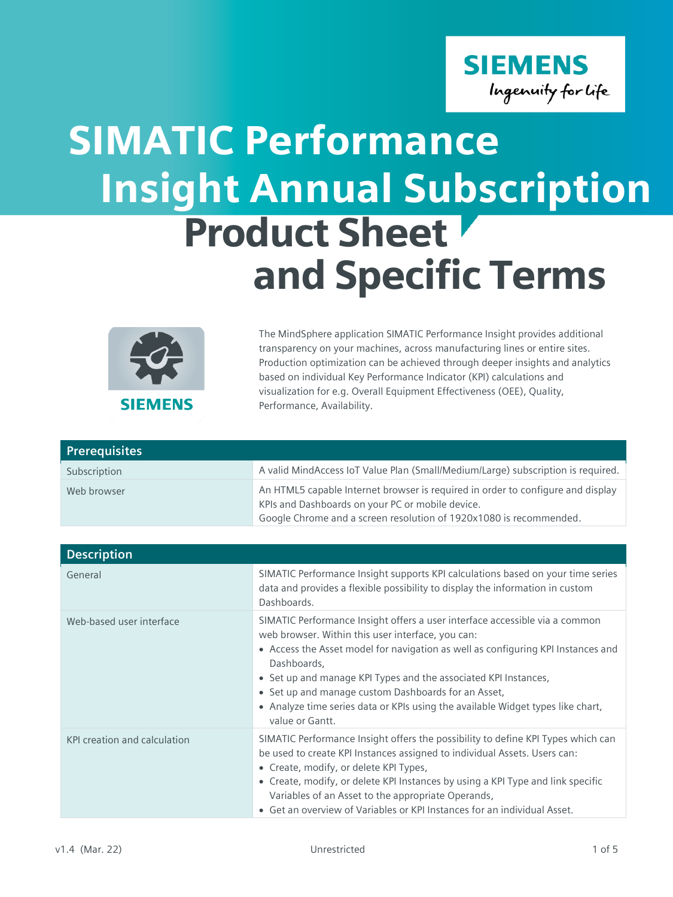

## SIMATIC Performance Product Sheet and Specific Terms Insight Annual Subscription



The MindSphere application SIMATIC Performance Insight provides additional transparency on your machines, across manufacturing lines or entire sites. Production optimization can be achieved through deeper insights and analytics based on individual Key Performance Indicator (KPI) calculations and visualization for e.g. Overall Equipment Effectiveness (OEE), Quality, Performance, Availability.

| <b>Prerequisites</b> |                                                                                                                                                                                                           |
|----------------------|-----------------------------------------------------------------------------------------------------------------------------------------------------------------------------------------------------------|
| Subscription         | A valid MindAccess IoT Value Plan (Small/Medium/Large) subscription is required.                                                                                                                          |
| Web browser          | An HTML5 capable Internet browser is required in order to configure and display<br>KPIs and Dashboards on your PC or mobile device.<br>Google Chrome and a screen resolution of 1920x1080 is recommended. |

| <b>Description</b>           |                                                                                                                                                                                                                                                                                                                                                                                                                                                                     |
|------------------------------|---------------------------------------------------------------------------------------------------------------------------------------------------------------------------------------------------------------------------------------------------------------------------------------------------------------------------------------------------------------------------------------------------------------------------------------------------------------------|
| General                      | SIMATIC Performance Insight supports KPI calculations based on your time series<br>data and provides a flexible possibility to display the information in custom<br>Dashboards.                                                                                                                                                                                                                                                                                     |
| Web-based user interface     | SIMATIC Performance Insight offers a user interface accessible via a common<br>web browser. Within this user interface, you can:<br>• Access the Asset model for navigation as well as configuring KPI Instances and<br>Dashboards,<br>• Set up and manage KPI Types and the associated KPI Instances,<br>• Set up and manage custom Dashboards for an Asset,<br>• Analyze time series data or KPIs using the available Widget types like chart,<br>value or Gantt. |
| KPI creation and calculation | SIMATIC Performance Insight offers the possibility to define KPI Types which can<br>be used to create KPI Instances assigned to individual Assets. Users can:<br>• Create, modify, or delete KPI Types,<br>• Create, modify, or delete KPI Instances by using a KPI Type and link specific<br>Variables of an Asset to the appropriate Operands,<br>• Get an overview of Variables or KPI Instances for an individual Asset.                                        |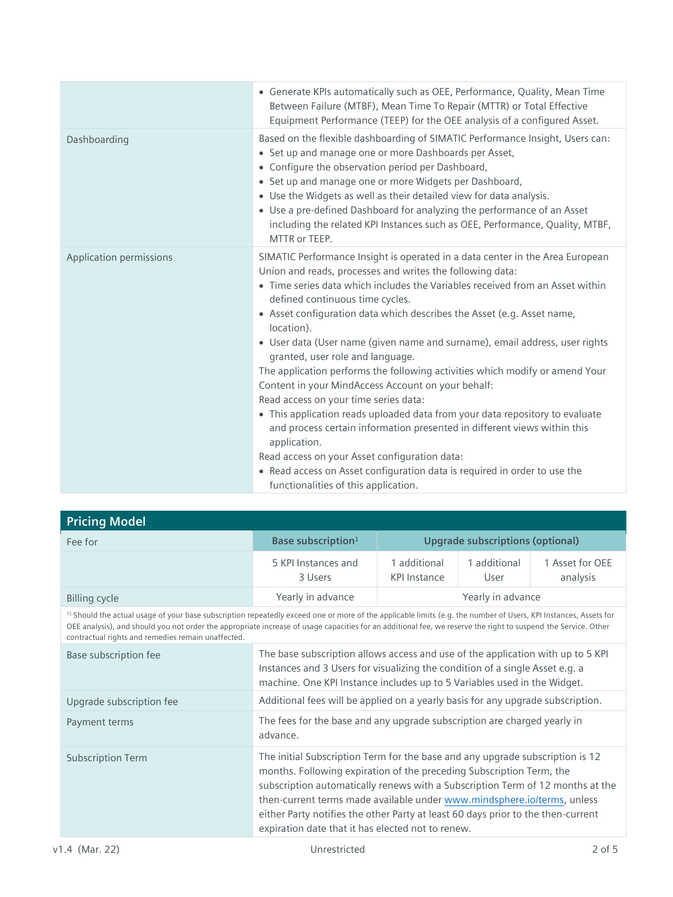|                         | • Generate KPIs automatically such as OEE, Performance, Quality, Mean Time<br>Between Failure (MTBF), Mean Time To Repair (MTTR) or Total Effective<br>Equipment Performance (TEEP) for the OEE analysis of a configured Asset.                                                                                                                                                                                                                                                                                                                                                                                                                                                                                                                                                                                                                                                                                                                                                                            |
|-------------------------|------------------------------------------------------------------------------------------------------------------------------------------------------------------------------------------------------------------------------------------------------------------------------------------------------------------------------------------------------------------------------------------------------------------------------------------------------------------------------------------------------------------------------------------------------------------------------------------------------------------------------------------------------------------------------------------------------------------------------------------------------------------------------------------------------------------------------------------------------------------------------------------------------------------------------------------------------------------------------------------------------------|
| Dashboarding            | Based on the flexible dashboarding of SIMATIC Performance Insight, Users can:<br>• Set up and manage one or more Dashboards per Asset,<br>• Configure the observation period per Dashboard,<br>• Set up and manage one or more Widgets per Dashboard,<br>• Use the Widgets as well as their detailed view for data analysis.<br>• Use a pre-defined Dashboard for analyzing the performance of an Asset<br>including the related KPI Instances such as OEE, Performance, Quality, MTBF,<br>MTTR or TEEP.                                                                                                                                                                                                                                                                                                                                                                                                                                                                                                   |
| Application permissions | SIMATIC Performance Insight is operated in a data center in the Area European<br>Union and reads, processes and writes the following data:<br>• Time series data which includes the Variables received from an Asset within<br>defined continuous time cycles.<br>• Asset configuration data which describes the Asset (e.g. Asset name,<br>location).<br>• User data (User name (given name and surname), email address, user rights<br>granted, user role and language.<br>The application performs the following activities which modify or amend Your<br>Content in your MindAccess Account on your behalf:<br>Read access on your time series data:<br>• This application reads uploaded data from your data repository to evaluate<br>and process certain information presented in different views within this<br>application.<br>Read access on your Asset configuration data:<br>• Read access on Asset configuration data is required in order to use the<br>functionalities of this application. |

| <b>Pricing Model</b>                                                                                                                                                                                                                                                                                                                                                                                |                                                                                                                                                                                                                                                                                                                                                                                                                                                             |                                         |                      |                             |
|-----------------------------------------------------------------------------------------------------------------------------------------------------------------------------------------------------------------------------------------------------------------------------------------------------------------------------------------------------------------------------------------------------|-------------------------------------------------------------------------------------------------------------------------------------------------------------------------------------------------------------------------------------------------------------------------------------------------------------------------------------------------------------------------------------------------------------------------------------------------------------|-----------------------------------------|----------------------|-----------------------------|
| Fee for                                                                                                                                                                                                                                                                                                                                                                                             | Base subscription <sup>1</sup>                                                                                                                                                                                                                                                                                                                                                                                                                              | <b>Upgrade subscriptions (optional)</b> |                      |                             |
|                                                                                                                                                                                                                                                                                                                                                                                                     | 5 KPI Instances and<br>3 Users                                                                                                                                                                                                                                                                                                                                                                                                                              | 1 additional<br><b>KPI Instance</b>     | 1 additional<br>User | 1 Asset for OEE<br>analysis |
| <b>Billing cycle</b>                                                                                                                                                                                                                                                                                                                                                                                | Yearly in advance                                                                                                                                                                                                                                                                                                                                                                                                                                           |                                         | Yearly in advance    |                             |
| <sup>1)</sup> Should the actual usage of your base subscription repeatedly exceed one or more of the applicable limits (e.g. the number of Users, KPI Instances, Assets for<br>OEE analysis), and should you not order the appropriate increase of usage capacities for an additional fee, we reserve the right to suspend the Service. Other<br>contractual rights and remedies remain unaffected. |                                                                                                                                                                                                                                                                                                                                                                                                                                                             |                                         |                      |                             |
| Base subscription fee                                                                                                                                                                                                                                                                                                                                                                               | The base subscription allows access and use of the application with up to 5 KPI<br>Instances and 3 Users for visualizing the condition of a single Asset e.g. a<br>machine. One KPI Instance includes up to 5 Variables used in the Widget.                                                                                                                                                                                                                 |                                         |                      |                             |
| Upgrade subscription fee                                                                                                                                                                                                                                                                                                                                                                            | Additional fees will be applied on a yearly basis for any upgrade subscription.                                                                                                                                                                                                                                                                                                                                                                             |                                         |                      |                             |
| Payment terms                                                                                                                                                                                                                                                                                                                                                                                       | The fees for the base and any upgrade subscription are charged yearly in<br>advance.                                                                                                                                                                                                                                                                                                                                                                        |                                         |                      |                             |
| <b>Subscription Term</b>                                                                                                                                                                                                                                                                                                                                                                            | The initial Subscription Term for the base and any upgrade subscription is 12<br>months. Following expiration of the preceding Subscription Term, the<br>subscription automatically renews with a Subscription Term of 12 months at the<br>then-current terms made available under www.mindsphere.io/terms, unless<br>either Party notifies the other Party at least 60 days prior to the then-current<br>expiration date that it has elected not to renew. |                                         |                      |                             |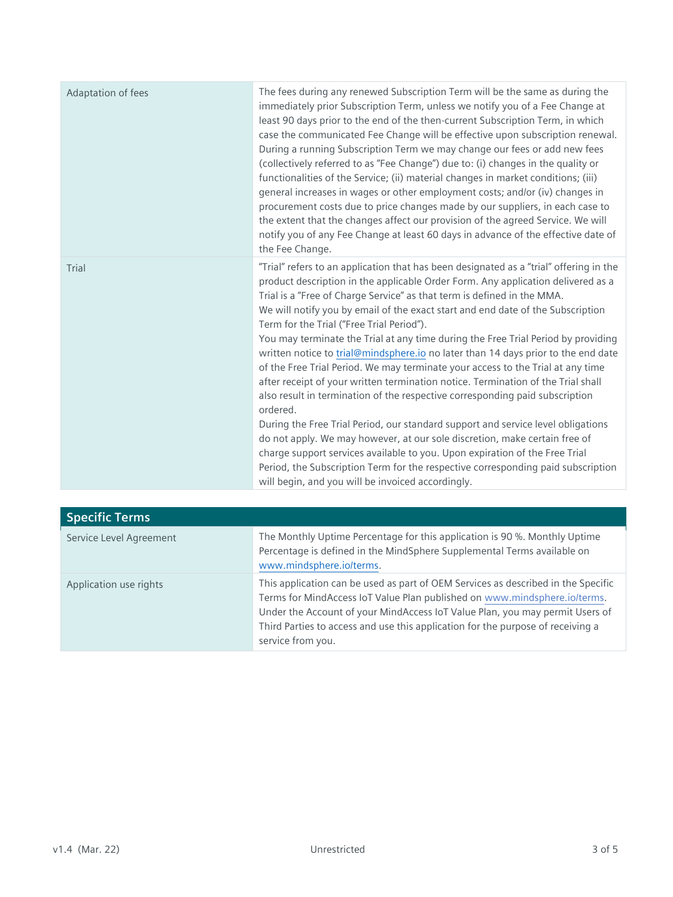| Adaptation of fees | The fees during any renewed Subscription Term will be the same as during the<br>immediately prior Subscription Term, unless we notify you of a Fee Change at<br>least 90 days prior to the end of the then-current Subscription Term, in which<br>case the communicated Fee Change will be effective upon subscription renewal.<br>During a running Subscription Term we may change our fees or add new fees<br>(collectively referred to as "Fee Change") due to: (i) changes in the quality or<br>functionalities of the Service; (ii) material changes in market conditions; (iii)<br>general increases in wages or other employment costs; and/or (iv) changes in<br>procurement costs due to price changes made by our suppliers, in each case to<br>the extent that the changes affect our provision of the agreed Service. We will<br>notify you of any Fee Change at least 60 days in advance of the effective date of<br>the Fee Change.                                                                                                                                                                                                                                                                            |
|--------------------|------------------------------------------------------------------------------------------------------------------------------------------------------------------------------------------------------------------------------------------------------------------------------------------------------------------------------------------------------------------------------------------------------------------------------------------------------------------------------------------------------------------------------------------------------------------------------------------------------------------------------------------------------------------------------------------------------------------------------------------------------------------------------------------------------------------------------------------------------------------------------------------------------------------------------------------------------------------------------------------------------------------------------------------------------------------------------------------------------------------------------------------------------------------------------------------------------------------------------|
| Trial              | "Trial" refers to an application that has been designated as a "trial" offering in the<br>product description in the applicable Order Form. Any application delivered as a<br>Trial is a "Free of Charge Service" as that term is defined in the MMA.<br>We will notify you by email of the exact start and end date of the Subscription<br>Term for the Trial ("Free Trial Period").<br>You may terminate the Trial at any time during the Free Trial Period by providing<br>written notice to trial@mindsphere.io no later than 14 days prior to the end date<br>of the Free Trial Period. We may terminate your access to the Trial at any time<br>after receipt of your written termination notice. Termination of the Trial shall<br>also result in termination of the respective corresponding paid subscription<br>ordered.<br>During the Free Trial Period, our standard support and service level obligations<br>do not apply. We may however, at our sole discretion, make certain free of<br>charge support services available to you. Upon expiration of the Free Trial<br>Period, the Subscription Term for the respective corresponding paid subscription<br>will begin, and you will be invoiced accordingly. |

| <b>Specific Terms</b>   |                                                                                                                                                                                                                                                                                                                                                        |
|-------------------------|--------------------------------------------------------------------------------------------------------------------------------------------------------------------------------------------------------------------------------------------------------------------------------------------------------------------------------------------------------|
| Service Level Agreement | The Monthly Uptime Percentage for this application is 90 %. Monthly Uptime<br>Percentage is defined in the MindSphere Supplemental Terms available on<br>www.mindsphere.io/terms.                                                                                                                                                                      |
| Application use rights  | This application can be used as part of OEM Services as described in the Specific<br>Terms for MindAccess IoT Value Plan published on www.mindsphere.io/terms.<br>Under the Account of your MindAccess IoT Value Plan, you may permit Users of<br>Third Parties to access and use this application for the purpose of receiving a<br>service from you. |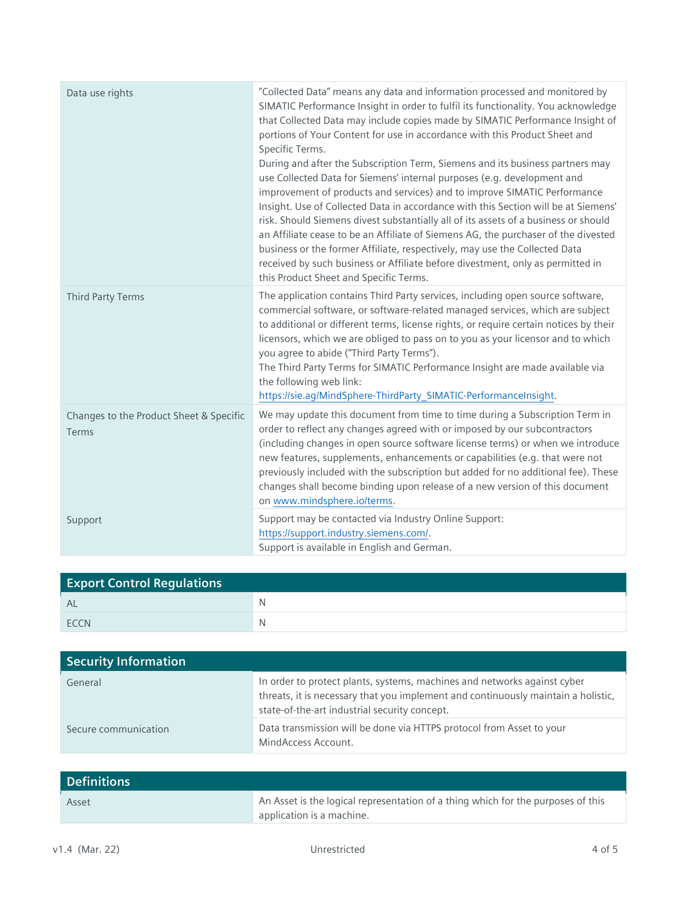| Data use rights                                  | "Collected Data" means any data and information processed and monitored by<br>SIMATIC Performance Insight in order to fulfil its functionality. You acknowledge<br>that Collected Data may include copies made by SIMATIC Performance Insight of<br>portions of Your Content for use in accordance with this Product Sheet and<br>Specific Terms.<br>During and after the Subscription Term, Siemens and its business partners may<br>use Collected Data for Siemens' internal purposes (e.g. development and<br>improvement of products and services) and to improve SIMATIC Performance<br>Insight. Use of Collected Data in accordance with this Section will be at Siemens'<br>risk. Should Siemens divest substantially all of its assets of a business or should<br>an Affiliate cease to be an Affiliate of Siemens AG, the purchaser of the divested<br>business or the former Affiliate, respectively, may use the Collected Data<br>received by such business or Affiliate before divestment, only as permitted in<br>this Product Sheet and Specific Terms. |
|--------------------------------------------------|------------------------------------------------------------------------------------------------------------------------------------------------------------------------------------------------------------------------------------------------------------------------------------------------------------------------------------------------------------------------------------------------------------------------------------------------------------------------------------------------------------------------------------------------------------------------------------------------------------------------------------------------------------------------------------------------------------------------------------------------------------------------------------------------------------------------------------------------------------------------------------------------------------------------------------------------------------------------------------------------------------------------------------------------------------------------|
| <b>Third Party Terms</b>                         | The application contains Third Party services, including open source software,<br>commercial software, or software-related managed services, which are subject<br>to additional or different terms, license rights, or require certain notices by their<br>licensors, which we are obliged to pass on to you as your licensor and to which<br>you agree to abide ("Third Party Terms").<br>The Third Party Terms for SIMATIC Performance Insight are made available via<br>the following web link:<br>https://sie.ag/MindSphere-ThirdParty_SIMATIC-PerformanceInsight.                                                                                                                                                                                                                                                                                                                                                                                                                                                                                                 |
| Changes to the Product Sheet & Specific<br>Terms | We may update this document from time to time during a Subscription Term in<br>order to reflect any changes agreed with or imposed by our subcontractors<br>(including changes in open source software license terms) or when we introduce<br>new features, supplements, enhancements or capabilities (e.g. that were not<br>previously included with the subscription but added for no additional fee). These<br>changes shall become binding upon release of a new version of this document<br>on www.mindsphere.io/terms.                                                                                                                                                                                                                                                                                                                                                                                                                                                                                                                                           |
| Support                                          | Support may be contacted via Industry Online Support:<br>https://support.industry.siemens.com/.<br>Support is available in English and German.                                                                                                                                                                                                                                                                                                                                                                                                                                                                                                                                                                                                                                                                                                                                                                                                                                                                                                                         |

| <b>Export Control Regulations</b> |              |  |
|-----------------------------------|--------------|--|
| - AL                              | $\mathbb N$  |  |
| <b>ECCN</b>                       | <sup>N</sup> |  |

| <b>Security Information</b> |                                                                                                                                                                                                                |
|-----------------------------|----------------------------------------------------------------------------------------------------------------------------------------------------------------------------------------------------------------|
| General                     | In order to protect plants, systems, machines and networks against cyber<br>threats, it is necessary that you implement and continuously maintain a holistic,<br>state-of-the-art industrial security concept. |
| Secure communication        | Data transmission will be done via HTTPS protocol from Asset to your<br>MindAccess Account.                                                                                                                    |

| <b>Definitions</b> |                                                                                  |
|--------------------|----------------------------------------------------------------------------------|
| Asset              | An Asset is the logical representation of a thing which for the purposes of this |
|                    | application is a machine.                                                        |